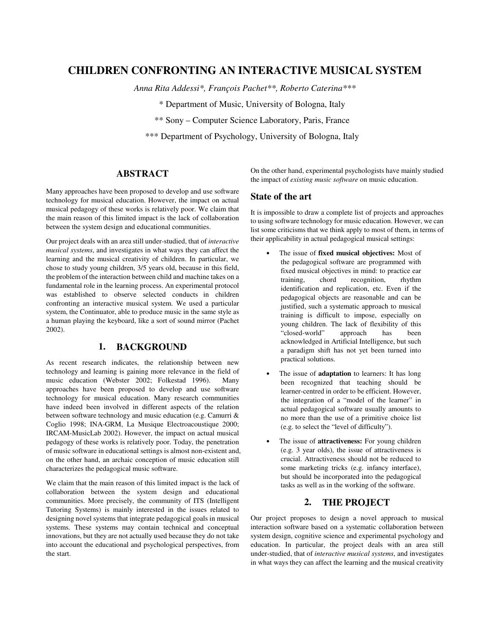# **CHILDREN CONFRONTING AN INTERACTIVE MUSICAL SYSTEM**

*Anna Rita Addessi\*, François Pachet\*\*, Roberto Caterina\*\*\**

\* Department of Music, University of Bologna, Italy

\*\* Sony – Computer Science Laboratory, Paris, France

\*\*\* Department of Psychology, University of Bologna, Italy

### **ABSTRACT**

Many approaches have been proposed to develop and use software technology for musical education. However, the impact on actual musical pedagogy of these works is relatively poor. We claim that the main reason of this limited impact is the lack of collaboration between the system design and educational communities.

Our project deals with an area still under-studied, that of *interactive musical systems*, and investigates in what ways they can affect the learning and the musical creativity of children. In particular, we chose to study young children, 3/5 years old, because in this field, the problem of the interaction between child and machine takes on a fundamental role in the learning process. An experimental protocol was established to observe selected conducts in children confronting an interactive musical system. We used a particular system, the Continuator, able to produce music in the same style as a human playing the keyboard, like a sort of sound mirror (Pachet 2002).

#### **1. BACKGROUND**

As recent research indicates, the relationship between new technology and learning is gaining more relevance in the field of music education (Webster 2002; Folkestad 1996). Many approaches have been proposed to develop and use software technology for musical education. Many research communities have indeed been involved in different aspects of the relation between software technology and music education (e.g. Camurri & Coglio 1998; INA-GRM, La Musique Electroacoustique 2000; IRCAM-MusicLab 2002). However, the impact on actual musical pedagogy of these works is relatively poor. Today, the penetration of music software in educational settings is almost non-existent and, on the other hand, an archaic conception of music education still characterizes the pedagogical music software.

We claim that the main reason of this limited impact is the lack of collaboration between the system design and educational communities. More precisely, the community of ITS (Intelligent Tutoring Systems) is mainly interested in the issues related to designing novel systems that integrate pedagogical goals in musical systems. These systems may contain technical and conceptual innovations, but they are not actually used because they do not take into account the educational and psychological perspectives, from the start.

On the other hand, experimental psychologists have mainly studied the impact of *existing music software* on music education.

#### **State of the art**

It is impossible to draw a complete list of projects and approaches to using software technology for music education. However, we can list some criticisms that we think apply to most of them, in terms of their applicability in actual pedagogical musical settings:

- The issue of **fixed musical objectives:** Most of the pedagogical software are programmed with fixed musical objectives in mind: to practice ear<br>training, chord recognition, rhythm chord recognition, rhythm identification and replication, etc. Even if the pedagogical objects are reasonable and can be justified, such a systematic approach to musical training is difficult to impose, especially on young children. The lack of flexibility of this "closed-world" approach has been acknowledged in Artificial Intelligence, but such a paradigm shift has not yet been turned into practical solutions.
- The issue of **adaptation** to learners: It has long been recognized that teaching should be learner-centred in order to be efficient. However, the integration of a "model of the learner" in actual pedagogical software usually amounts to no more than the use of a primitive choice list (e.g. to select the "level of difficulty").
- The issue of **attractiveness:** For young children (e.g. 3 year olds), the issue of attractiveness is crucial. Attractiveness should not be reduced to some marketing tricks (e.g. infancy interface), but should be incorporated into the pedagogical tasks as well as in the working of the software.

## **2. THE PROJECT**

Our project proposes to design a novel approach to musical interaction software based on a systematic collaboration between system design, cognitive science and experimental psychology and education. In particular, the project deals with an area still under-studied, that of *interactive musical systems*, and investigates in what ways they can affect the learning and the musical creativity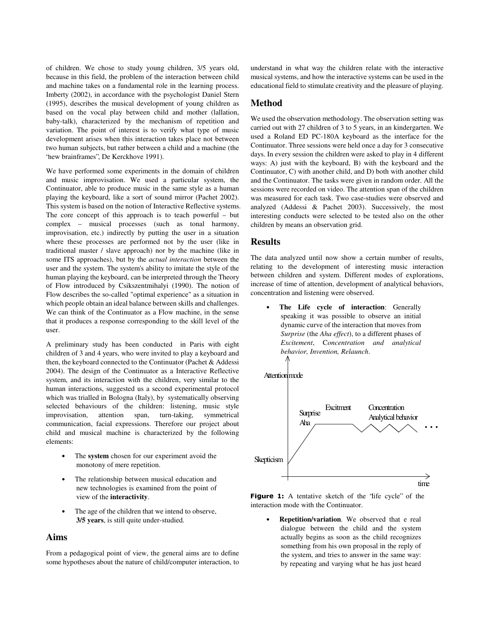of children. We chose to study young children, 3/5 years old, because in this field, the problem of the interaction between child and machine takes on a fundamental role in the learning process. Imberty (2002), in accordance with the psychologist Daniel Stern (1995), describes the musical development of young children as based on the vocal play between child and mother (lallation, baby-talk), characterized by the mechanism of repetition and variation. The point of interest is to verify what type of music development arises when this interaction takes place not between two human subjects, but rather between a child and a machine (the "new brainframes", De Kerckhove 1991).

We have performed some experiments in the domain of children and music improvisation. We used a particular system, the Continuator, able to produce music in the same style as a human playing the keyboard, like a sort of sound mirror (Pachet 2002). This system is based on the notion of Interactive Reflective systems. The core concept of this approach is to teach powerful – but complex – musical processes (such as tonal harmony, improvisation, etc.) indirectly by putting the user in a situation where these processes are performed not by the user (like in traditional master / slave approach) nor by the machine (like in some ITS approaches), but by the *actual interaction* between the user and the system. The system's ability to imitate the style of the human playing the keyboard, can be interpreted through the Theory of Flow introduced by Csikszentmihalyi (1990). The notion of Flow describes the so-called "optimal experience" as a situation in which people obtain an ideal balance between skills and challenges. We can think of the Continuator as a Flow machine, in the sense that it produces a response corresponding to the skill level of the user.

A preliminary study has been conducted in Paris with eight children of 3 and 4 years, who were invited to play a keyboard and then, the keyboard connected to the Continuator (Pachet & Addessi 2004). The design of the Continuator as a Interactive Reflective system, and its interaction with the children, very similar to the human interactions, suggested us a second experimental protocol which was trialled in Bologna (Italy), by systematically observing selected behaviours of the children: listening, music style improvisation, attention span, turn-taking, symmetrical communication, facial expressions. Therefore our project about child and musical machine is characterized by the following elements:

- The **system** chosen for our experiment avoid the monotony of mere repetition.
- The relationship between musical education and new technologies is examined from the point of view of the **interactivity**.
- The age of the children that we intend to observe, **3/5 years**, is still quite under-studied*.*

#### **Aims**

From a pedagogical point of view, the general aims are to define some hypotheses about the nature of child/computer interaction, to understand in what way the children relate with the interactive musical systems, and how the interactive systems can be used in the educational field to stimulate creativity and the pleasure of playing.

## **Method**

We used the observation methodology. The observation setting was carried out with 27 children of 3 to 5 years, in an kindergarten. We used a Roland ED PC-180A keyboard as the interface for the Continuator. Three sessions were held once a day for 3 consecutive days. In every session the children were asked to play in 4 different ways: A) just with the keyboard, B) with the keyboard and the Continuator, C) with another child, and D) both with another child and the Continuator. The tasks were given in random order. All the sessions were recorded on video. The attention span of the children was measured for each task. Two case-studies were observed and analyzed (Addessi & Pachet 2003). Successively, the most interesting conducts were selected to be tested also on the other children by means an observation grid.

## **Results**

The data analyzed until now show a certain number of results, relating to the development of interesting music interaction between children and system. Different modes of explorations, increase of time of attention, development of analytical behaviors, concentration and listening were observed.

• **The Life cycle of interaction**: Generally speaking it was possible to observe an initial dynamic curve of the interaction that moves from *Surprise* (the *Aha effect*), to a different phases of *Excitement*, C*oncentration and analytical behavior, Invention, Relaunch*.



Figure 1: A tentative sketch of the 'life cycle'' of the interaction mode with the Continuator.

• **Repetition/variation**. We observed that e real dialogue between the child and the system actually begins as soon as the child recognizes something from his own proposal in the reply of the system, and tries to answer in the same way: by repeating and varying what he has just heard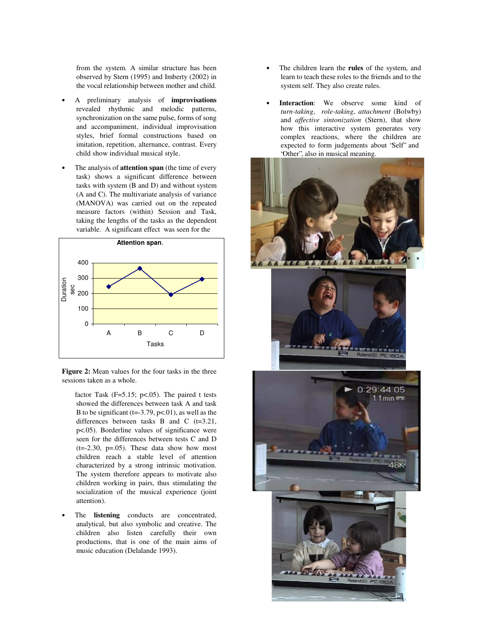from the system. A similar structure has been observed by Stern (1995) and Imberty (2002) in the vocal relationship between mother and child.

- A preliminary analysis of **improvisations** revealed rhythmic and melodic patterns, synchronization on the same pulse, forms of song and accompaniment, individual improvisation styles, brief formal constructions based on imitation, repetition, alternance, contrast. Every child show individual musical style.
- The analysis of **attention span** (the time of every task) shows a significant difference between tasks with system (B and D) and without system (A and C). The multivariate analysis of variance (MANOVA) was carried out on the repeated measure factors (within) Session and Task, taking the lengths of the tasks as the dependent variable. A significant effect was seen for the



**Figure 2:** Mean values for the four tasks in the three sessions taken as a whole.

- factor Task  $(F=5.15; p<0.05)$ . The paired t tests showed the differences between task A and task B to be significant ( $t = -3.79$ ,  $p < .01$ ), as well as the differences between tasks B and C (t=3.21, p<.05). Borderline values of significance were seen for the differences between tests C and D  $(t=-2.30, p=.05)$ . These data show how most children reach a stable level of attention characterized by a strong intrinsic motivation. The system therefore appears to motivate also children working in pairs, thus stimulating the socialization of the musical experience (joint attention).
- The **listening** conducts are concentrated, analytical, but also symbolic and creative. The children also listen carefully their own productions, that is one of the main aims of music education (Delalande 1993).
- The children learn the **rules** of the system, and learn to teach these roles to the friends and to the system self. They also create rules.
- **Interaction:** We observe some kind of *turn-taking*, *role-taking*, *attachment* (Bolwby) and *affective sintonization* (Stern), that show how this interactive system generates very complex reactions, where the children are expected to form judgements about "Self" and "Other", also in musical meaning.